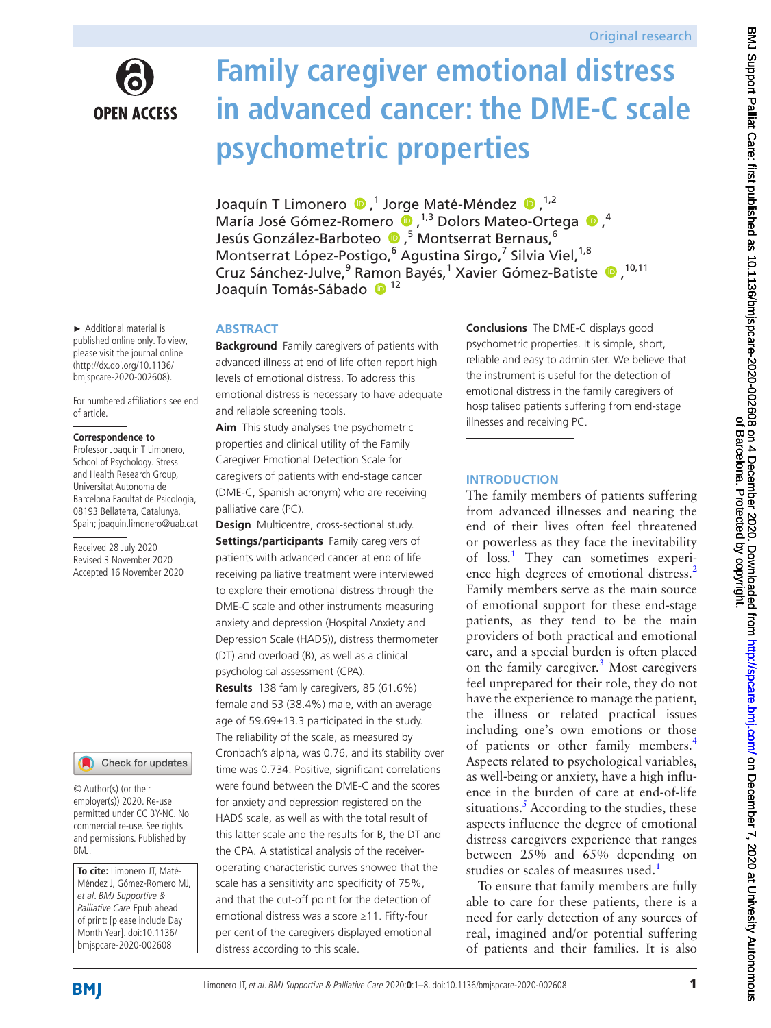

# **Family caregiver emotional distress in advanced cancer: the DME-C scale psychometric properties**

JoaquínT Limonero (D, 1 Jorge Maté-Méndez (D, 1,2) MaríaJosé Gómez-Romero  $\bullet$ , <sup>1,3</sup> Dolors Mateo-Ortega  $\bullet$ ,<sup>4</sup> Jesús González-Barboteo (D, <sup>5</sup> Montserrat Bernaus, <sup>6</sup> Montserrat López-Postigo,<sup>6</sup> Agustina Sirgo,<sup>7</sup> Silvia Viel,<sup>1,8</sup> CruzSánchez-Julve,<sup>9</sup> Ramon Bayés,<sup>1</sup> Xavier Gómez-Batiste (D, 10,11) Joaquín Tomás-Sábado <sup>12</sup>

## **ABSTRACT**

**Background** Family caregivers of patients with advanced illness at end of life often report high levels of emotional distress. To address this emotional distress is necessary to have adequate and reliable screening tools.

**Aim** This study analyses the psychometric properties and clinical utility of the Family Caregiver Emotional Detection Scale for caregivers of patients with end-stage cancer (DME-C, Spanish acronym) who are receiving palliative care (PC).

**Design** Multicentre, cross-sectional study. **Settings/participants** Family caregivers of patients with advanced cancer at end of life receiving palliative treatment were interviewed to explore their emotional distress through the DME-C scale and other instruments measuring anxiety and depression (Hospital Anxiety and Depression Scale (HADS)), distress thermometer (DT) and overload (B), as well as a clinical psychological assessment (CPA).

**Results** 138 family caregivers, 85 (61.6%) female and 53 (38.4%) male, with an average age of 59.69±13.3 participated in the study. The reliability of the scale, as measured by Cronbach's alpha, was 0.76, and its stability over time was 0.734. Positive, significant correlations were found between the DME-C and the scores for anxiety and depression registered on the HADS scale, as well as with the total result of this latter scale and the results for B, the DT and the CPA. A statistical analysis of the receiveroperating characteristic curves showed that the scale has a sensitivity and specificity of 75%, and that the cut-off point for the detection of emotional distress was a score ≥11. Fifty-four per cent of the caregivers displayed emotional distress according to this scale.

**Conclusions** The DME-C displays good psychometric properties. It is simple, short, reliable and easy to administer. We believe that the instrument is useful for the detection of emotional distress in the family caregivers of hospitalised patients suffering from end-stage illnesses and receiving PC.

# **INTRODUCTION**

The family members of patients suffering from advanced illnesses and nearing the end of their lives often feel threatened or powerless as they face the inevitability of loss.<sup>[1](#page-7-0)</sup> They can sometimes experi-ence high degrees of emotional distress.<sup>[2](#page-7-1)</sup> Family members serve as the main source of emotional support for these end-stage patients, as they tend to be the main providers of both practical and emotional care, and a special burden is often placed on the family caregiver.<sup>3</sup> Most caregivers feel unprepared for their role, they do not have the experience to manage the patient, the illness or related practical issues including one's own emotions or those of patients or other family members.<sup>[4](#page-7-3)</sup> Aspects related to psychological variables, as well-being or anxiety, have a high influence in the burden of care at end-of-life situations.<sup>[5](#page-7-4)</sup> According to the studies, these aspects influence the degree of emotional distress caregivers experience that ranges between 25% and 65% depending on studies or scales of measures used.<sup>[1](#page-7-0)</sup>

To ensure that family members are fully able to care for these patients, there is a need for early detection of any sources of real, imagined and/or potential suffering of patients and their families. It is also

► Additional material is published online only. To view, please visit the journal online (http://dx.doi.org/10.1136/ bmjspcare-2020-002608).

For numbered affiliations see end of article.

### **Correspondence to**

Professor Joaquín T Limonero, School of Psychology. Stress and Health Research Group, Universitat Autonoma de Barcelona Facultat de Psicologia, 08193 Bellaterra, Catalunya, Spain; joaquin.limonero@uab.cat

Received 28 July 2020 Revised 3 November 2020 Accepted 16 November 2020

## Check for updates

© Author(s) (or their employer(s)) 2020. Re-use permitted under CC BY-NC. No commercial re-use. See rights and permissions. Published by BMJ.

**To cite:** Limonero JT, Maté-Méndez J, Gómez-Romero MJ, et al. BMJ Supportive & Palliative Care Epub ahead of print: [please include Day Month Year]. doi:10.1136/ bmjspcare-2020-002608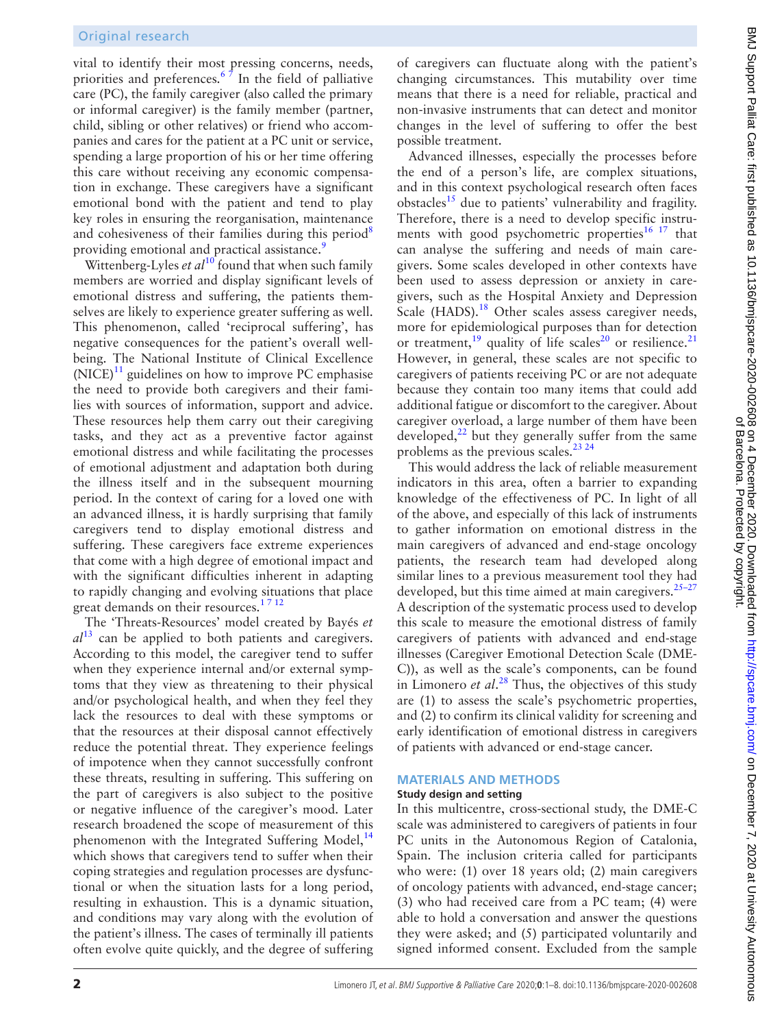vital to identify their most pressing concerns, needs, priorities and preferences.<sup>67</sup> In the field of palliative care (PC), the family caregiver (also called the primary or informal caregiver) is the family member (partner, child, sibling or other relatives) or friend who accompanies and cares for the patient at a PC unit or service, spending a large proportion of his or her time offering this care without receiving any economic compensation in exchange. These caregivers have a significant emotional bond with the patient and tend to play key roles in ensuring the reorganisation, maintenance and cohesiveness of their families during this period<sup>[8](#page-7-6)</sup> providing emotional and practical assistance.<sup>[9](#page-7-7)</sup>

Wittenberg-Lyles *et al*<sup>10</sup> found that when such family members are worried and display significant levels of emotional distress and suffering, the patients themselves are likely to experience greater suffering as well. This phenomenon, called 'reciprocal suffering', has negative consequences for the patient's overall wellbeing. The National Institute of Clinical Excellence  $(NICE)^{11}$  guidelines on how to improve PC emphasise the need to provide both caregivers and their families with sources of information, support and advice. These resources help them carry out their caregiving tasks, and they act as a preventive factor against emotional distress and while facilitating the processes of emotional adjustment and adaptation both during the illness itself and in the subsequent mourning period. In the context of caring for a loved one with an advanced illness, it is hardly surprising that family caregivers tend to display emotional distress and suffering. These caregivers face extreme experiences that come with a high degree of emotional impact and with the significant difficulties inherent in adapting to rapidly changing and evolving situations that place great demands on their resources. $1712$ 

The 'Threats-Resources' model created by Bayés *et al*[13](#page-7-10) can be applied to both patients and caregivers. According to this model, the caregiver tend to suffer when they experience internal and/or external symptoms that they view as threatening to their physical and/or psychological health, and when they feel they lack the resources to deal with these symptoms or that the resources at their disposal cannot effectively reduce the potential threat. They experience feelings of impotence when they cannot successfully confront these threats, resulting in suffering. This suffering on the part of caregivers is also subject to the positive or negative influence of the caregiver's mood. Later research broadened the scope of measurement of this phenomenon with the Integrated Suffering Model,<sup>14</sup> which shows that caregivers tend to suffer when their coping strategies and regulation processes are dysfunctional or when the situation lasts for a long period, resulting in exhaustion. This is a dynamic situation, and conditions may vary along with the evolution of the patient's illness. The cases of terminally ill patients often evolve quite quickly, and the degree of suffering

of caregivers can fluctuate along with the patient's changing circumstances. This mutability over time means that there is a need for reliable, practical and non-invasive instruments that can detect and monitor changes in the level of suffering to offer the best possible treatment.

Advanced illnesses, especially the processes before the end of a person's life, are complex situations, and in this context psychological research often faces obstacles<sup>[15](#page-7-12)</sup> due to patients' vulnerability and fragility. Therefore, there is a need to develop specific instruments with good psychometric properties $16 17$  that can analyse the suffering and needs of main caregivers. Some scales developed in other contexts have been used to assess depression or anxiety in caregivers, such as the Hospital Anxiety and Depression Scale (HADS).<sup>18</sup> Other scales assess caregiver needs, more for epidemiological purposes than for detection or treatment,<sup>[19](#page-7-15)</sup> quality of life scales<sup>[20](#page-7-16)</sup> or resilience.<sup>21</sup> However, in general, these scales are not specific to caregivers of patients receiving PC or are not adequate because they contain too many items that could add additional fatigue or discomfort to the caregiver. About caregiver overload, a large number of them have been developed, $^{22}$  but they generally suffer from the same problems as the previous scales.<sup>23</sup> <sup>24</sup>

This would address the lack of reliable measurement indicators in this area, often a barrier to expanding knowledge of the effectiveness of PC. In light of all of the above, and especially of this lack of instruments to gather information on emotional distress in the main caregivers of advanced and end-stage oncology patients, the research team had developed along similar lines to a previous measurement tool they had developed, but this time aimed at main caregivers. $25-27$ A description of the systematic process used to develop this scale to measure the emotional distress of family caregivers of patients with advanced and end-stage illnesses (Caregiver Emotional Detection Scale (DME-C)), as well as the scale's components, can be found in Limonero *et al*. [28](#page-7-21) Thus, the objectives of this study are (1) to assess the scale's psychometric properties, and (2) to confirm its clinical validity for screening and early identification of emotional distress in caregivers of patients with advanced or end-stage cancer.

# **MATERIALS AND METHODS**

### **Study design and setting**

In this multicentre, cross-sectional study, the DME-C scale was administered to caregivers of patients in four PC units in the Autonomous Region of Catalonia, Spain. The inclusion criteria called for participants who were: (1) over 18 years old; (2) main caregivers of oncology patients with advanced, end-stage cancer; (3) who had received care from a PC team; (4) were able to hold a conversation and answer the questions they were asked; and (5) participated voluntarily and signed informed consent. Excluded from the sample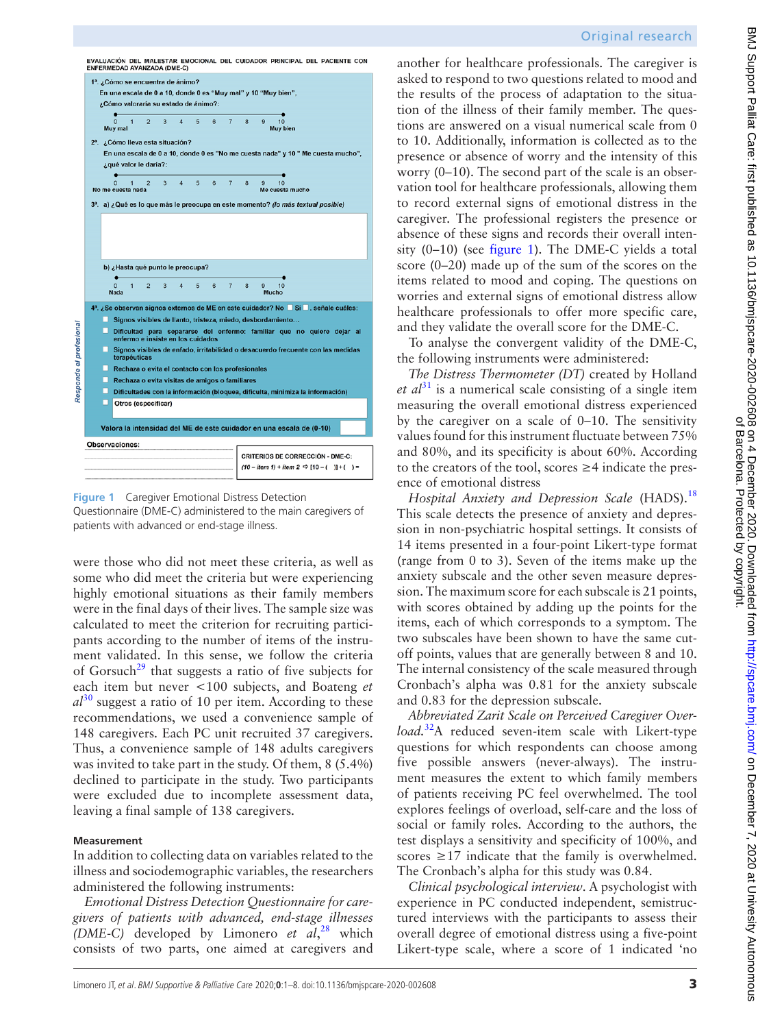|   | ENFERMEDAD AVANZADA (DME-C)                                                                                         |                     |                     |        |                |              |                |                       |                                                         |  |
|---|---------------------------------------------------------------------------------------------------------------------|---------------------|---------------------|--------|----------------|--------------|----------------|-----------------------|---------------------------------------------------------|--|
|   | 1ª. ¿Cómo se encuentra de ánimo?                                                                                    |                     |                     |        |                |              |                |                       |                                                         |  |
|   | En una escala de 0 a 10, donde 0 es "Muy mal" y 10 "Muy bien",                                                      |                     |                     |        |                |              |                |                       |                                                         |  |
|   | ¿Cómo valoraría su estado de ánimo?:                                                                                |                     |                     |        |                |              |                |                       |                                                         |  |
|   |                                                                                                                     |                     |                     |        |                |              |                |                       |                                                         |  |
|   | 1<br>$\Omega$<br>Muy mal                                                                                            | $\overline{2}$<br>3 | $\overline{\bf{4}}$ | 5<br>6 | $\overline{7}$ | 8            | 9              | 10<br>Muv bien        |                                                         |  |
|   |                                                                                                                     |                     |                     |        |                |              |                |                       |                                                         |  |
|   | 2ª. ¿Cómo lleva esta situación?<br>En una escala de 0 a 10, donde 0 es "No me cuesta nada" y 10 " Me cuesta mucho", |                     |                     |        |                |              |                |                       |                                                         |  |
|   | z qué valor le daria?:                                                                                              |                     |                     |        |                |              |                |                       |                                                         |  |
|   |                                                                                                                     |                     |                     |        |                |              |                |                       |                                                         |  |
|   | 1<br>No me cuesta nada                                                                                              | $\overline{2}$<br>3 | $\overline{a}$      | 5<br>6 | $\overline{7}$ | $\mathbf{a}$ | $\Omega$       | 10<br>Me cuesta mucho |                                                         |  |
|   |                                                                                                                     |                     |                     |        |                |              |                |                       |                                                         |  |
|   | 3 <sup>a</sup> . a) ¿Qué es lo que más le preocupa en este momento? (lo más textual posible)                        |                     |                     |        |                |              |                |                       |                                                         |  |
|   |                                                                                                                     |                     |                     |        |                |              |                |                       |                                                         |  |
|   |                                                                                                                     |                     |                     |        |                |              |                |                       |                                                         |  |
|   |                                                                                                                     |                     |                     |        |                |              |                |                       |                                                         |  |
|   |                                                                                                                     |                     |                     |        |                |              |                |                       |                                                         |  |
|   | b) ¿Hasta qué punto le preocupa?                                                                                    |                     |                     |        |                |              |                |                       |                                                         |  |
|   |                                                                                                                     |                     |                     |        |                |              |                |                       |                                                         |  |
|   | $\Omega$<br>$\overline{1}$                                                                                          |                     |                     |        |                |              |                |                       |                                                         |  |
|   |                                                                                                                     | $\overline{2}$<br>3 | $\overline{A}$      | 5<br>6 | $\overline{7}$ | 8            | $\overline{9}$ | 10                    |                                                         |  |
|   | Nada                                                                                                                |                     |                     |        |                |              | Mucho          |                       |                                                         |  |
|   | 4ª. ¿Se observan signos externos de ME en este cuidador? No Sí , señale cuáles:                                     |                     |                     |        |                |              |                |                       |                                                         |  |
|   | Signos visibles de llanto, tristeza, miedo, desbordamiento                                                          |                     |                     |        |                |              |                |                       |                                                         |  |
|   | Dificultad para separarse del enfermo: familiar que no quiere dejar al<br>enfermo e insiste en los cuidados         |                     |                     |        |                |              |                |                       |                                                         |  |
|   | Signos visibles de enfado, irritabilidad o desacuerdo frecuente con las medidas<br>terapéuticas                     |                     |                     |        |                |              |                |                       |                                                         |  |
|   | Rechaza o evita el contacto con los profesionales                                                                   |                     |                     |        |                |              |                |                       |                                                         |  |
|   | Rechaza o evita visitas de amigos o familiares                                                                      |                     |                     |        |                |              |                |                       |                                                         |  |
|   | Dificultades con la información (bloquea, dificulta, minimiza la información)                                       |                     |                     |        |                |              |                |                       |                                                         |  |
| п | Otros (especificar)                                                                                                 |                     |                     |        |                |              |                |                       |                                                         |  |
|   |                                                                                                                     |                     |                     |        |                |              |                |                       |                                                         |  |
|   | Valora la intensidad del ME de este cuidador en una escala de (0-10)                                                |                     |                     |        |                |              |                |                       |                                                         |  |
|   | Observaciones:                                                                                                      |                     |                     |        |                |              |                |                       |                                                         |  |
|   |                                                                                                                     |                     |                     |        |                |              |                |                       | <b>CRITERIOS DE CORRECCIÓN - DME-C:</b>                 |  |
|   |                                                                                                                     |                     |                     |        |                |              |                |                       | $(10 - item 1) + item 2 \Rightarrow [10 - (-)] + (-) =$ |  |

<span id="page-2-0"></span>**Figure 1** Caregiver Emotional Distress Detection

Questionnaire (DME-C) administered to the main caregivers of patients with advanced or end-stage illness.

were those who did not meet these criteria, as well as some who did meet the criteria but were experiencing highly emotional situations as their family members were in the final days of their lives. The sample size was calculated to meet the criterion for recruiting participants according to the number of items of the instrument validated. In this sense, we follow the criteria of Gorsuch<sup>29</sup> that suggests a ratio of five subjects for each item but never <100 subjects, and Boateng *et*   $a<sup>30</sup>$  suggest a ratio of 10 per item. According to these recommendations, we used a convenience sample of 148 caregivers. Each PC unit recruited 37 caregivers. Thus, a convenience sample of 148 adults caregivers was invited to take part in the study. Of them, 8 (5.4%) declined to participate in the study. Two participants were excluded due to incomplete assessment data, leaving a final sample of 138 caregivers.

### **Measurement**

In addition to collecting data on variables related to the illness and sociodemographic variables, the researchers administered the following instruments:

*Emotional Distress Detection Questionnaire for caregivers of patients with advanced, end-stage illnesses (DME-C)* developed by Limonero *et al*, [28](#page-7-21) which consists of two parts, one aimed at caregivers and

another for healthcare professionals. The caregiver is asked to respond to two questions related to mood and the results of the process of adaptation to the situation of the illness of their family member. The questions are answered on a visual numerical scale from 0 to 10. Additionally, information is collected as to the presence or absence of worry and the intensity of this worry (0–10). The second part of the scale is an observation tool for healthcare professionals, allowing them to record external signs of emotional distress in the caregiver. The professional registers the presence or absence of these signs and records their overall intensity (0–10) (see [figure](#page-2-0) 1). The DME-C yields a total score (0–20) made up of the sum of the scores on the items related to mood and coping. The questions on worries and external signs of emotional distress allow healthcare professionals to offer more specific care, and they validate the overall score for the DME-C.

To analyse the convergent validity of the DME-C, the following instruments were administered:

*The Distress Thermometer (DT)* created by Holland  $et \t al^{31}$  is a numerical scale consisting of a single item measuring the overall emotional distress experienced by the caregiver on a scale of 0–10. The sensitivity values found for this instrument fluctuate between 75% and 80%, and its specificity is about 60%. According to the creators of the tool, scores ≥4 indicate the presence of emotional distress

*Hospital Anxiety and Depression Scale* (HADS).<sup>[18](#page-7-14)</sup> This scale detects the presence of anxiety and depression in non-psychiatric hospital settings. It consists of 14 items presented in a four-point Likert-type format (range from 0 to 3). Seven of the items make up the anxiety subscale and the other seven measure depression. The maximum score for each subscale is 21 points, with scores obtained by adding up the points for the items, each of which corresponds to a symptom. The two subscales have been shown to have the same cutoff points, values that are generally between 8 and 10. The internal consistency of the scale measured through Cronbach's alpha was 0.81 for the anxiety subscale and 0.83 for the depression subscale.

*Abbreviated Zarit Scale on Perceived Caregiver Overload.*[32](#page-7-25)A reduced seven-item scale with Likert-type questions for which respondents can choose among five possible answers (never-always). The instrument measures the extent to which family members of patients receiving PC feel overwhelmed. The tool explores feelings of overload, self-care and the loss of social or family roles. According to the authors, the test displays a sensitivity and specificity of 100%, and scores  $\geq$ 17 indicate that the family is overwhelmed. The Cronbach's alpha for this study was 0.84.

*Clinical psychological interview*. A psychologist with experience in PC conducted independent, semistructured interviews with the participants to assess their overall degree of emotional distress using a five-point Likert-type scale, where a score of 1 indicated 'no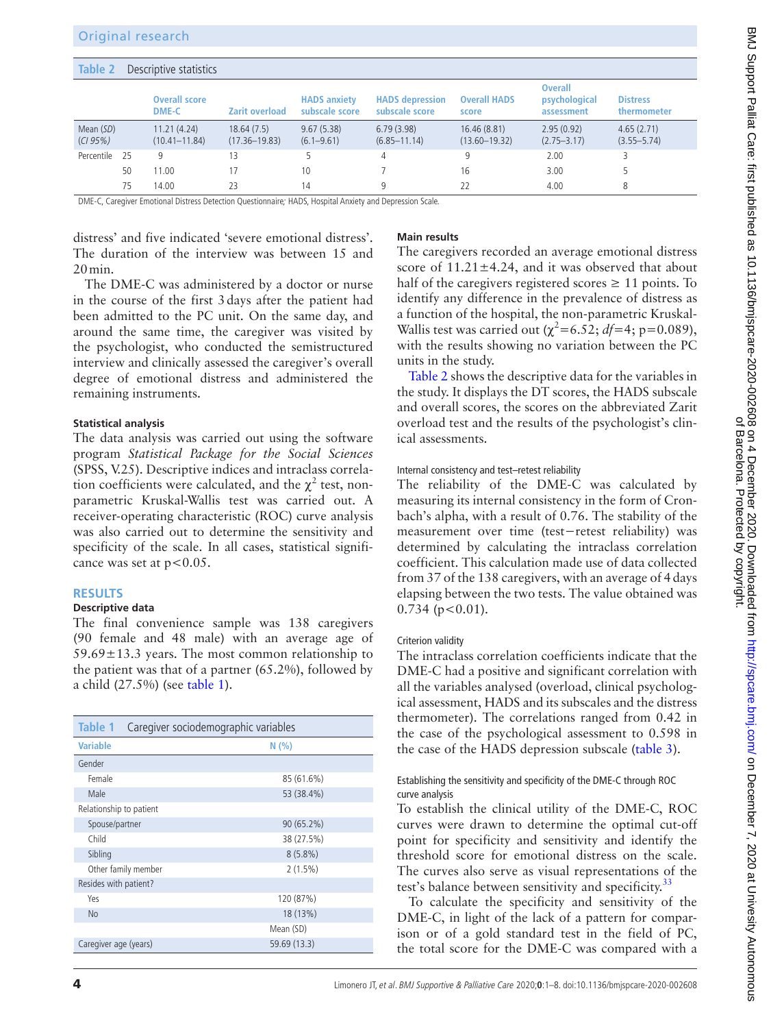### <span id="page-3-1"></span>**Table 2** Descriptive statistics

|                       |    | <b>Overall score</b><br><b>DME-C</b> | Zarit overload                  | <b>HADS</b> anxiety<br>subscale score | <b>HADS</b> depression<br>subscale score | <b>Overall HADS</b><br>score      | <b>Overall</b><br>psychological<br>assessment | <b>Distress</b><br>thermometer |
|-----------------------|----|--------------------------------------|---------------------------------|---------------------------------------|------------------------------------------|-----------------------------------|-----------------------------------------------|--------------------------------|
| Mean (SD)<br>(CI 95%) |    | 11.21(4.24)<br>$(10.41 - 11.84)$     | 18.64(7.5)<br>$(17.36 - 19.83)$ | 9.67(5.38)<br>$(6.1 - 9.61)$          | 6.79(3.98)<br>$(6.85 - 11.14)$           | 16.46 (8.81)<br>$(13.60 - 19.32)$ | 2.95(0.92)<br>$(2.75 - 3.17)$                 | 4.65(2.71)<br>$(3.55 - 5.74)$  |
| Percentile            | 25 | 9                                    | 13                              |                                       | 4                                        | 9                                 | 2.00                                          |                                |
|                       | 50 | 11.00                                |                                 | 10                                    |                                          | 16                                | 3.00                                          |                                |
|                       | 75 | 14.00                                | 23                              | 14                                    | Q                                        | 22                                | 4.00                                          | 8                              |

DME-C, Caregiver Emotional Distress Detection Questionnaire; HADS, Hospital Anxiety and Depression Scale.

distress' and five indicated 'severe emotional distress'. The duration of the interview was between 15 and 20min.

The DME-C was administered by a doctor or nurse in the course of the first 3days after the patient had been admitted to the PC unit. On the same day, and around the same time, the caregiver was visited by the psychologist, who conducted the semistructured interview and clinically assessed the caregiver's overall degree of emotional distress and administered the remaining instruments.

### **Statistical analysis**

The data analysis was carried out using the software program *Statistical Package for the Social Sciences* (SPSS, V.25). Descriptive indices and intraclass correlation coefficients were calculated, and the  $\chi^2$  test, nonparametric Kruskal-Wallis test was carried out. A receiver-operating characteristic (ROC) curve analysis was also carried out to determine the sensitivity and specificity of the scale. In all cases, statistical significance was set at  $p < 0.05$ .

### **RESULTS**

# **Descriptive data**

The final convenience sample was 138 caregivers (90 female and 48 male) with an average age of  $59.69 \pm 13.3$  years. The most common relationship to the patient was that of a partner (65.2%), followed by a child (27.5%) (see [table](#page-3-0) 1).

<span id="page-3-0"></span>

| Table 1<br>Caregiver sociodemographic variables |              |  |  |  |  |  |
|-------------------------------------------------|--------------|--|--|--|--|--|
| <b>Variable</b>                                 | N(% )        |  |  |  |  |  |
| Gender                                          |              |  |  |  |  |  |
| Female                                          | 85 (61.6%)   |  |  |  |  |  |
| Male                                            | 53 (38.4%)   |  |  |  |  |  |
| Relationship to patient                         |              |  |  |  |  |  |
| Spouse/partner                                  | 90 (65.2%)   |  |  |  |  |  |
| Child                                           | 38 (27.5%)   |  |  |  |  |  |
| Sibling                                         | $8(5.8\%)$   |  |  |  |  |  |
| Other family member                             | $2(1.5\%)$   |  |  |  |  |  |
| Resides with patient?                           |              |  |  |  |  |  |
| Yes                                             | 120 (87%)    |  |  |  |  |  |
| <b>No</b>                                       | 18(13%)      |  |  |  |  |  |
|                                                 | Mean (SD)    |  |  |  |  |  |
| Caregiver age (years)                           | 59.69 (13.3) |  |  |  |  |  |

## **Main results**

The caregivers recorded an average emotional distress score of  $11.21 \pm 4.24$ , and it was observed that about half of the caregivers registered scores  $\geq 11$  points. To identify any difference in the prevalence of distress as a function of the hospital, the non-parametric Kruskal-Wallis test was carried out ( $\chi^2$ =6.52; *df*=4; p=0.089), with the results showing no variation between the PC units in the study.

[Table](#page-3-1) 2 shows the descriptive data for the variables in the study. It displays the DT scores, the HADS subscale and overall scores, the scores on the abbreviated Zarit overload test and the results of the psychologist's clinical assessments.

#### Internal consistency and test–retest reliability

The reliability of the DME-C was calculated by measuring its internal consistency in the form of Cronbach's alpha, with a result of 0.76. The stability of the measurement over time (test−retest reliability) was determined by calculating the intraclass correlation coefficient. This calculation made use of data collected from 37 of the 138 caregivers, with an average of 4days elapsing between the two tests. The value obtained was  $0.734$  ( $p < 0.01$ ).

## Criterion validity

The intraclass correlation coefficients indicate that the DME-C had a positive and significant correlation with all the variables analysed (overload, clinical psychological assessment, HADS and its subscales and the distress thermometer). The correlations ranged from 0.42 in the case of the psychological assessment to 0.598 in the case of the HADS depression subscale [\(table](#page-4-0) 3).

## Establishing the sensitivity and specificity of the DME-C through ROC curve analysis

To establish the clinical utility of the DME-C, ROC curves were drawn to determine the optimal cut-off point for specificity and sensitivity and identify the threshold score for emotional distress on the scale. The curves also serve as visual representations of the test's balance between sensitivity and specificity.<sup>33</sup>

To calculate the specificity and sensitivity of the DME-C, in light of the lack of a pattern for comparison or of a gold standard test in the field of PC, the total score for the DME-C was compared with a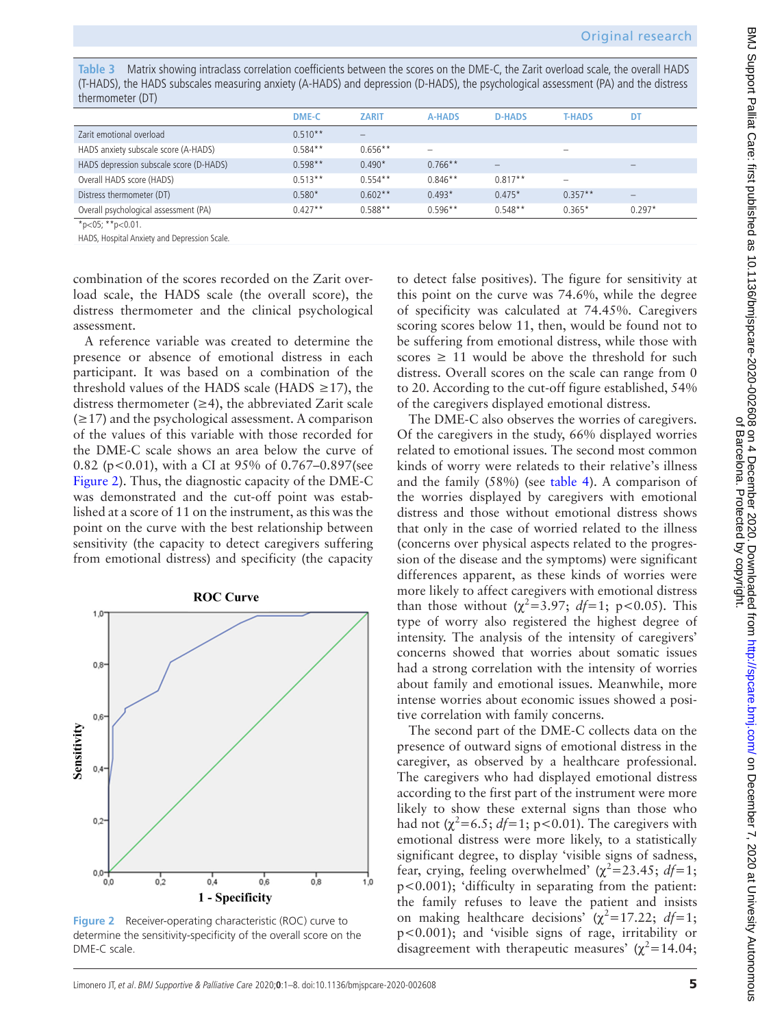<span id="page-4-0"></span>**Table 3** Matrix showing intraclass correlation coefficients between the scores on the DME-C, the Zarit overload scale, the overall HADS (T-HADS), the HADS subscales measuring anxiety (A-HADS) and depression (D-HADS), the psychological assessment (PA) and the distress thermometer (DT)

|                                         | <b>DME-C</b> | <b>ZARIT</b> | <b>A-HADS</b>            | <b>D-HADS</b>            | <b>T-HADS</b> | DT       |
|-----------------------------------------|--------------|--------------|--------------------------|--------------------------|---------------|----------|
| Zarit emotional overload                | $0.510**$    |              |                          |                          |               |          |
| HADS anxiety subscale score (A-HADS)    | $0.584**$    | $0.656**$    | $\overline{\phantom{0}}$ |                          | -             |          |
| HADS depression subscale score (D-HADS) | $0.598**$    | $0.490*$     | $0.766**$                | $\overline{\phantom{a}}$ |               |          |
| Overall HADS score (HADS)               | $0.513**$    | $0.554**$    | $0.846**$                | $0.817**$                | -             |          |
| Distress thermometer (DT)               | $0.580*$     | $0.602**$    | $0.493*$                 | $0.475*$                 | $0.357**$     |          |
| Overall psychological assessment (PA)   | $0.427**$    | $0.588**$    | $0.596**$                | $0.548**$                | $0.365*$      | $0.297*$ |
| *p<05; **p<0.01.                        |              |              |                          |                          |               |          |

HADS, Hospital Anxiety and Depression Scale.

combination of the scores recorded on the Zarit overload scale, the HADS scale (the overall score), the distress thermometer and the clinical psychological assessment.

A reference variable was created to determine the presence or absence of emotional distress in each participant. It was based on a combination of the threshold values of the HADS scale (HADS  $\geq$ 17), the distress thermometer  $(\geq 4)$ , the abbreviated Zarit scale  $(\geq 17)$  and the psychological assessment. A comparison of the values of this variable with those recorded for the DME-C scale shows an area below the curve of 0.82 (p<0.01), with a CI at 95% of 0.767–0.897(see [Figure](#page-4-1) 2). Thus, the diagnostic capacity of the DME-C was demonstrated and the cut-off point was established at a score of 11 on the instrument, as this was the point on the curve with the best relationship between sensitivity (the capacity to detect caregivers suffering from emotional distress) and specificity (the capacity



<span id="page-4-1"></span>**Figure 2** Receiver-operating characteristic (ROC) curve to determine the sensitivity-specificity of the overall score on the DME-C scale.

to detect false positives). The figure for sensitivity at this point on the curve was 74.6%, while the degree of specificity was calculated at 74.45%. Caregivers scoring scores below 11, then, would be found not to be suffering from emotional distress, while those with scores  $\geq 11$  would be above the threshold for such distress. Overall scores on the scale can range from 0 to 20. According to the cut-off figure established, 54% of the caregivers displayed emotional distress.

The DME-C also observes the worries of caregivers. Of the caregivers in the study, 66% displayed worries related to emotional issues. The second most common kinds of worry were relateds to their relative's illness and the family (58%) (see [table](#page-5-0) 4). A comparison of the worries displayed by caregivers with emotional distress and those without emotional distress shows that only in the case of worried related to the illness (concerns over physical aspects related to the progression of the disease and the symptoms) were significant differences apparent, as these kinds of worries were more likely to affect caregivers with emotional distress than those without  $(\chi^2=3.97; df=1; p<0.05)$ . This type of worry also registered the highest degree of intensity. The analysis of the intensity of caregivers' concerns showed that worries about somatic issues had a strong correlation with the intensity of worries about family and emotional issues. Meanwhile, more intense worries about economic issues showed a positive correlation with family concerns.

The second part of the DME-C collects data on the presence of outward signs of emotional distress in the caregiver, as observed by a healthcare professional. The caregivers who had displayed emotional distress according to the first part of the instrument were more likely to show these external signs than those who had not  $(\chi^2=6.5; df=1; p<0.01)$ . The caregivers with emotional distress were more likely, to a statistically significant degree, to display 'visible signs of sadness, fear, crying, feeling overwhelmed'  $(\chi^2 = 23.45; df = 1;$ p<0.001); 'difficulty in separating from the patient: the family refuses to leave the patient and insists on making healthcare decisions'  $(\chi^2 = 17.22; df = 1;$ p<0.001); and 'visible signs of rage, irritability or disagreement with therapeutic measures'  $(\chi^2 = 14.04)$ ;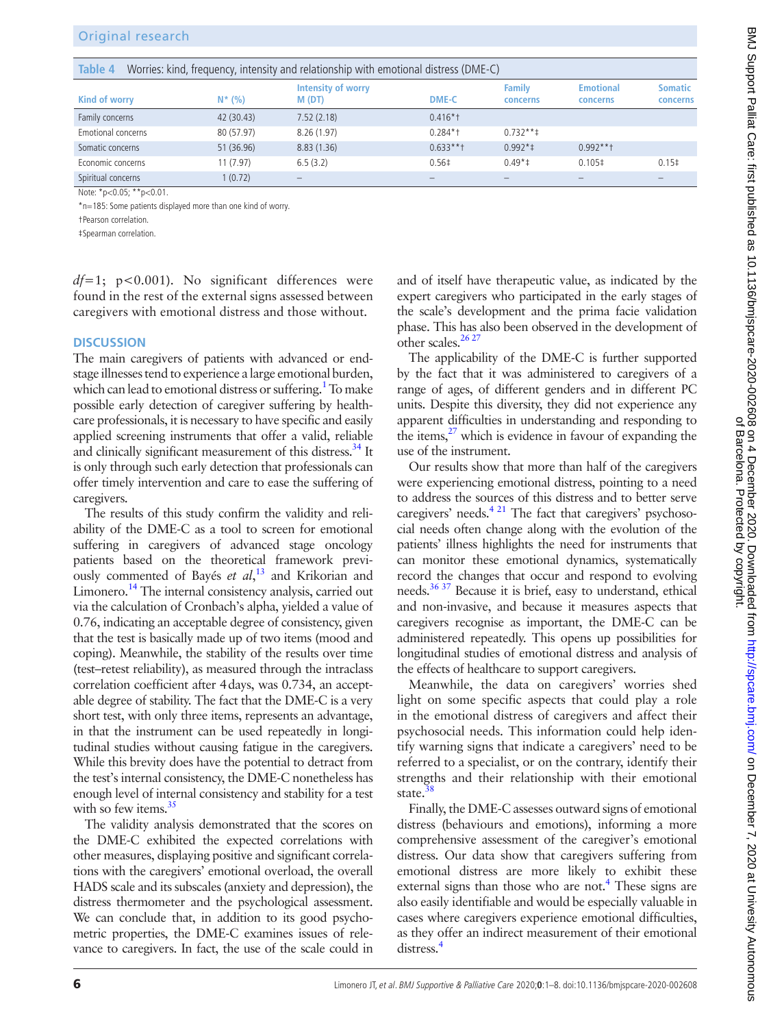# Original research

<span id="page-5-0"></span>

| Table 4<br>Worries: kind, frequency, intensity and relationship with emotional distress (DME-C)                  |            |                                    |                   |                           |                              |                            |  |  |  |
|------------------------------------------------------------------------------------------------------------------|------------|------------------------------------|-------------------|---------------------------|------------------------------|----------------------------|--|--|--|
| Kind of worry                                                                                                    | $N^*$ (%)  | <b>Intensity of worry</b><br>M(DT) | <b>DME-C</b>      | <b>Family</b><br>concerns | <b>Emotional</b><br>concerns | <b>Somatic</b><br>concerns |  |  |  |
| Family concerns                                                                                                  | 42 (30.43) | 7.52(2.18)                         | $0.416*$          |                           |                              |                            |  |  |  |
| Emotional concerns                                                                                               | 80 (57.97) | 8.26(1.97)                         | $0.284*$          | $0.732***$                |                              |                            |  |  |  |
| Somatic concerns                                                                                                 | 51 (36.96) | 8.83(1.36)                         | $0.633***$        | $0.992*$                  | $0.992***$                   |                            |  |  |  |
| Economic concerns                                                                                                | 11 (7.97)  | 6.5(3.2)                           | 0.56 <sup>‡</sup> | $0.49*$                   | $0.105\pm$                   | $0.15$ ‡                   |  |  |  |
| Spiritual concerns                                                                                               | 1(0.72)    |                                    |                   |                           |                              |                            |  |  |  |
| $N_{\text{obs}}$ $*_{\text{eq}}$ $*_{\text{eq}}$ $*_{\text{eq}}$ $*_{\text{eq}}$ $*_{\text{eq}}$ $*_{\text{eq}}$ |            |                                    |                   |                           |                              |                            |  |  |  |

Note: \*p<0.05; \*\*p<0.01.

\*n=185: Some patients displayed more than one kind of worry.

†Pearson correlation.

‡Spearman correlation.

*df=*1; p<0.001). No significant differences were found in the rest of the external signs assessed between caregivers with emotional distress and those without.

#### **DISCUSSION**

The main caregivers of patients with advanced or endstage illnesses tend to experience a large emotional burden, which can lead to emotional distress or suffering.<sup>1</sup> To make possible early detection of caregiver suffering by healthcare professionals, it is necessary to have specific and easily applied screening instruments that offer a valid, reliable and clinically significant measurement of this distress.<sup>34</sup> It is only through such early detection that professionals can offer timely intervention and care to ease the suffering of caregivers.

The results of this study confirm the validity and reliability of the DME-C as a tool to screen for emotional suffering in caregivers of advanced stage oncology patients based on the theoretical framework previously commented of Bayés *et al*, [13](#page-7-10) and Krikorian and Limonero.<sup>14</sup> The internal consistency analysis, carried out via the calculation of Cronbach's alpha, yielded a value of 0.76, indicating an acceptable degree of consistency, given that the test is basically made up of two items (mood and coping). Meanwhile, the stability of the results over time (test–retest reliability), as measured through the intraclass correlation coefficient after 4days, was 0.734, an acceptable degree of stability. The fact that the DME-C is a very short test, with only three items, represents an advantage, in that the instrument can be used repeatedly in longitudinal studies without causing fatigue in the caregivers. While this brevity does have the potential to detract from the test's internal consistency, the DME-C nonetheless has enough level of internal consistency and stability for a test with so few items.<sup>35</sup>

The validity analysis demonstrated that the scores on the DME-C exhibited the expected correlations with other measures, displaying positive and significant correlations with the caregivers' emotional overload, the overall HADS scale and its subscales (anxiety and depression), the distress thermometer and the psychological assessment. We can conclude that, in addition to its good psychometric properties, the DME-C examines issues of relevance to caregivers. In fact, the use of the scale could in

and of itself have therapeutic value, as indicated by the expert caregivers who participated in the early stages of the scale's development and the prima facie validation phase. This has also been observed in the development of other scales. $2627$ 

The applicability of the DME-C is further supported by the fact that it was administered to caregivers of a range of ages, of different genders and in different PC units. Despite this diversity, they did not experience any apparent difficulties in understanding and responding to the items, $27$  which is evidence in favour of expanding the use of the instrument.

Our results show that more than half of the caregivers were experiencing emotional distress, pointing to a need to address the sources of this distress and to better serve caregivers' needs.<sup>4 21</sup> The fact that caregivers' psychosocial needs often change along with the evolution of the patients' illness highlights the need for instruments that can monitor these emotional dynamics, systematically record the changes that occur and respond to evolving needs[.36 37](#page-7-31) Because it is brief, easy to understand, ethical and non-invasive, and because it measures aspects that caregivers recognise as important, the DME-C can be administered repeatedly. This opens up possibilities for longitudinal studies of emotional distress and analysis of the effects of healthcare to support caregivers.

Meanwhile, the data on caregivers' worries shed light on some specific aspects that could play a role in the emotional distress of caregivers and affect their psychosocial needs. This information could help identify warning signs that indicate a caregivers' need to be referred to a specialist, or on the contrary, identify their strengths and their relationship with their emotional state.<sup>[38](#page-7-32)</sup>

Finally, the DME-C assesses outward signs of emotional distress (behaviours and emotions), informing a more comprehensive assessment of the caregiver's emotional distress. Our data show that caregivers suffering from emotional distress are more likely to exhibit these external signs than those who are not.<sup>4</sup> These signs are also easily identifiable and would be especially valuable in cases where caregivers experience emotional difficulties, as they offer an indirect measurement of their emotional distress.<sup>4</sup>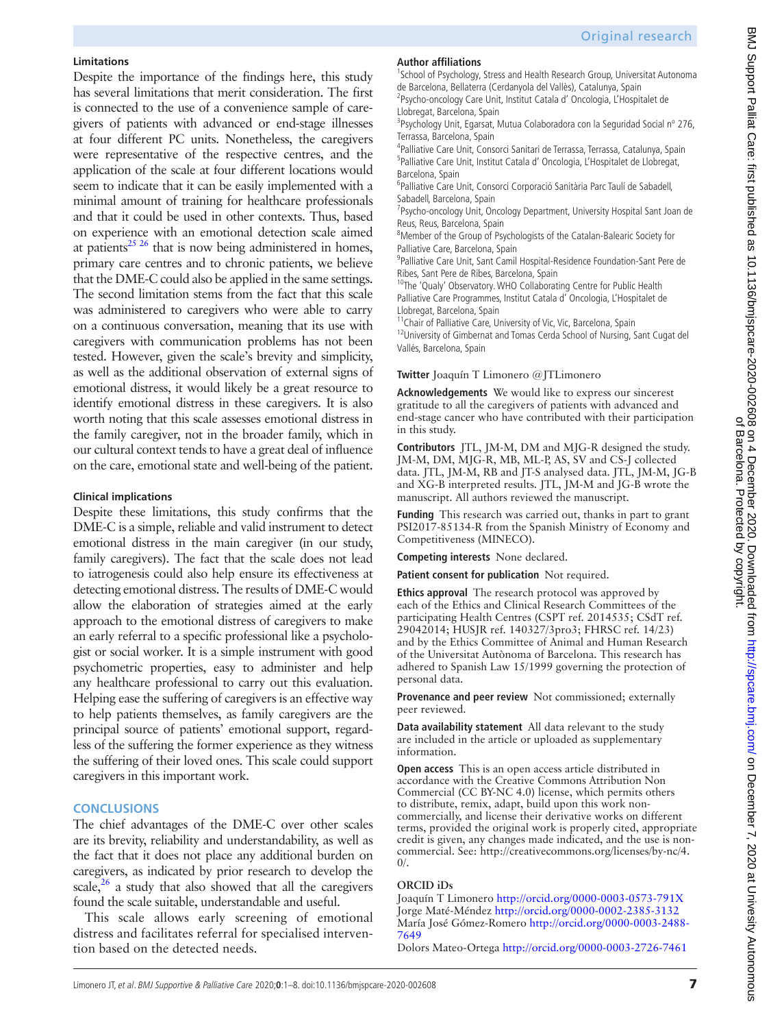# **Limitations**

Despite the importance of the findings here, this study has several limitations that merit consideration. The first is connected to the use of a convenience sample of caregivers of patients with advanced or end-stage illnesses at four different PC units. Nonetheless, the caregivers were representative of the respective centres, and the application of the scale at four different locations would seem to indicate that it can be easily implemented with a minimal amount of training for healthcare professionals and that it could be used in other contexts. Thus, based on experience with an emotional detection scale aimed at patients $^{25}$   $^{26}$  that is now being administered in homes, primary care centres and to chronic patients, we believe that the DME-C could also be applied in the same settings. The second limitation stems from the fact that this scale was administered to caregivers who were able to carry on a continuous conversation, meaning that its use with caregivers with communication problems has not been tested. However, given the scale's brevity and simplicity, as well as the additional observation of external signs of emotional distress, it would likely be a great resource to identify emotional distress in these caregivers. It is also worth noting that this scale assesses emotional distress in the family caregiver, not in the broader family, which in our cultural context tends to have a great deal of influence on the care, emotional state and well-being of the patient.

## **Clinical implications**

Despite these limitations, this study confirms that the DME-C is a simple, reliable and valid instrument to detect emotional distress in the main caregiver (in our study, family caregivers). The fact that the scale does not lead to iatrogenesis could also help ensure its effectiveness at detecting emotional distress. The results of DME-C would allow the elaboration of strategies aimed at the early approach to the emotional distress of caregivers to make an early referral to a specific professional like a psychologist or social worker. It is a simple instrument with good psychometric properties, easy to administer and help any healthcare professional to carry out this evaluation. Helping ease the suffering of caregivers is an effective way to help patients themselves, as family caregivers are the principal source of patients' emotional support, regardless of the suffering the former experience as they witness the suffering of their loved ones. This scale could support caregivers in this important work.

# **CONCLUSIONS**

The chief advantages of the DME-C over other scales are its brevity, reliability and understandability, as well as the fact that it does not place any additional burden on caregivers, as indicated by prior research to develop the scale, $^{26}$  a study that also showed that all the caregivers found the scale suitable, understandable and useful.

This scale allows early screening of emotional distress and facilitates referral for specialised intervention based on the detected needs.

# **Author affiliations**

<sup>1</sup>School of Psychology, Stress and Health Research Group, Universitat Autonoma de Barcelona, Bellaterra (Cerdanyola del Vallès), Catalunya, Spain 2 Psycho-oncology Care Unit, Institut Catala d' Oncologia, L'Hospitalet de

Llobregat, Barcelona, Spain <sup>3</sup>Psychology Unit, Egarsat, Mutua Colaboradora con la Seguridad Social nº 276, Terrassa, Barcelona, Spain

<sup>4</sup>Palliative Care Unit, Consorci Sanitari de Terrassa, Terrassa, Catalunya, Spain 5 Palliative Care Unit, Institut Catala d' Oncologia, L'Hospitalet de Llobregat, Barcelona, Spain

6 Palliative Care Unit, Consorci Corporació Sanitària Parc Taulí de Sabadell, Sabadell, Barcelona, Spain

<sup>7</sup>Psycho-oncology Unit, Oncology Department, University Hospital Sant Joan de Reus, Reus, Barcelona, Spain

<sup>8</sup>Member of the Group of Psychologists of the Catalan-Balearic Society for Palliative Care, Barcelona, Spain

9 Palliative Care Unit, Sant Camil Hospital-Residence Foundation-Sant Pere de Ribes, Sant Pere de Ribes, Barcelona, Spain

<sup>10</sup>The 'Qualy' Observatory. WHO Collaborating Centre for Public Health Palliative Care Programmes, Institut Catala d' Oncologia, L'Hospitalet de

Llobregat, Barcelona, Spain <sup>11</sup>Chair of Palliative Care, University of Vic, Vic, Barcelona, Spain

<sup>12</sup>University of Gimbernat and Tomas Cerda School of Nursing, Sant Cugat del Vallés, Barcelona, Spain

## **Twitter** Joaquín T Limonero [@JTLimonero](https://twitter.com/JTLimonero)

**Acknowledgements** We would like to express our sincerest gratitude to all the caregivers of patients with advanced and end-stage cancer who have contributed with their participation in this study.

**Contributors** JTL, JM-M, DM and MJG-R designed the study. JM-M, DM, MJG-R, MB, ML-P, AS, SV and CS-J collected data. JTL, JM-M, RB and JT-S analysed data. JTL, JM-M, JG-B and XG-B interpreted results. JTL, JM-M and JG-B wrote the manuscript. All authors reviewed the manuscript.

**Funding** This research was carried out, thanks in part to grant PSI2017-85134-R from the Spanish Ministry of Economy and Competitiveness (MINECO).

**Competing interests** None declared.

**Patient consent for publication** Not required.

**Ethics approval** The research protocol was approved by each of the Ethics and Clinical Research Committees of the participating Health Centres (CSPT ref. 2014535; CSdT ref. 29042014; HUSJR ref. 140327/3pro3; FHRSC ref. 14/23) and by the Ethics Committee of Animal and Human Research of the Universitat Autònoma of Barcelona. This research has adhered to Spanish Law 15/1999 governing the protection of personal data.

**Provenance and peer review** Not commissioned; externally peer reviewed.

**Data availability statement** All data relevant to the study are included in the article or uploaded as supplementary information.

**Open access** This is an open access article distributed in accordance with the Creative Commons Attribution Non Commercial (CC BY-NC 4.0) license, which permits others to distribute, remix, adapt, build upon this work noncommercially, and license their derivative works on different terms, provided the original work is properly cited, appropriate credit is given, any changes made indicated, and the use is noncommercial. See: [http://creativecommons.org/licenses/by-nc/4.](http://creativecommons.org/licenses/by-nc/4.0/) [0/.](http://creativecommons.org/licenses/by-nc/4.0/)

# **ORCID iDs**

Joaquín T Limonero <http://orcid.org/0000-0003-0573-791X> Jorge Maté-Méndez<http://orcid.org/0000-0002-2385-3132> María José Gómez-Romero [http://orcid.org/0000-0003-2488-](http://orcid.org/0000-0003-2488-7649) [7649](http://orcid.org/0000-0003-2488-7649)

Dolors Mateo-Ortega<http://orcid.org/0000-0003-2726-7461>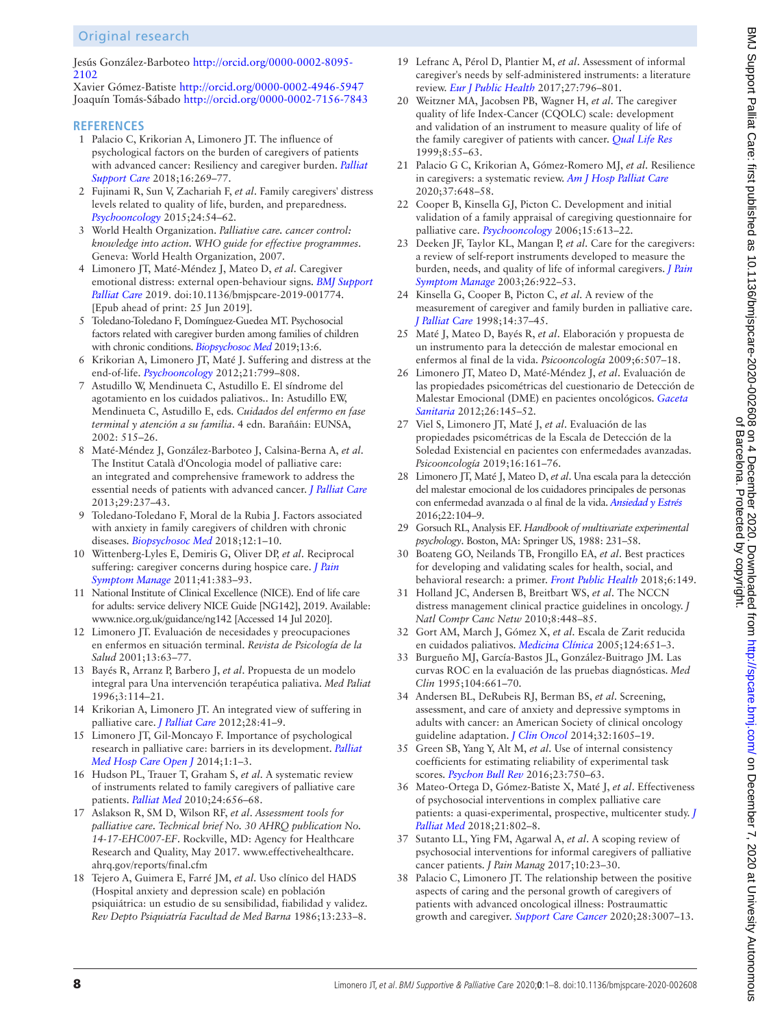# Original research

Jesús González-Barboteo [http://orcid.org/0000-0002-8095-](http://orcid.org/0000-0002-8095-2102) [2102](http://orcid.org/0000-0002-8095-2102)

Xavier Gómez-Batiste <http://orcid.org/0000-0002-4946-5947> Joaquín Tomás-Sábado<http://orcid.org/0000-0002-7156-7843>

#### **REFERENCES**

- <span id="page-7-0"></span>1 Palacio C, Krikorian A, Limonero JT. The influence of psychological factors on the burden of caregivers of patients with advanced cancer: Resiliency and caregiver burden. *[Palliat](http://dx.doi.org/10.1017/S1478951517000268)  [Support Care](http://dx.doi.org/10.1017/S1478951517000268)* 2018;16:269–77.
- <span id="page-7-1"></span>2 Fujinami R, Sun V, Zachariah F, *et al*. Family caregivers' distress levels related to quality of life, burden, and preparedness. *[Psychooncology](http://dx.doi.org/10.1002/pon.3562)* 2015;24:54–62.
- <span id="page-7-2"></span>3 World Health Organization. *Palliative care. cancer control: knowledge into action. WHO guide for effective programmes*. Geneva: World Health Organization, 2007.
- <span id="page-7-3"></span>4 Limonero JT, Maté-Méndez J, Mateo D, *et al*. Caregiver emotional distress: external open-behaviour signs. *[BMJ Support](http://dx.doi.org/10.1136/bmjspcare-2019-001774) [Palliat Care](http://dx.doi.org/10.1136/bmjspcare-2019-001774)* 2019. doi:10.1136/bmjspcare-2019-001774. [Epub ahead of print: 25 Jun 2019].
- <span id="page-7-4"></span>5 Toledano-Toledano F, Domínguez-Guedea MT. Psychosocial factors related with caregiver burden among families of children with chronic conditions. *[Biopsychosoc Med](http://dx.doi.org/10.1186/s13030-019-0147-2)* 2019;13:6.
- <span id="page-7-5"></span>6 Krikorian A, Limonero JT, Maté J. Suffering and distress at the end-of-life. *[Psychooncology](http://dx.doi.org/10.1002/pon.2087)* 2012;21:799–808.
- 7 Astudillo W, Mendinueta C, Astudillo E. El síndrome del agotamiento en los cuidados paliativos.. In: Astudillo EW, Mendinueta C, Astudillo E, eds. *Cuidados del enfermo en fase terminal y atención a su familia*. 4 edn. Barañáin: EUNSA, 2002: 515–26.
- <span id="page-7-6"></span>8 Maté-Méndez J, González-Barboteo J, Calsina-Berna A, *et al*. The Institut Català d'Oncologia model of palliative care: an integrated and comprehensive framework to address the essential needs of patients with advanced cancer. *[J Palliat Care](http://dx.doi.org/10.1177/082585971302900406)* 2013;29:237–43.
- <span id="page-7-7"></span>9 Toledano-Toledano F, Moral de la Rubia J. Factors associated with anxiety in family caregivers of children with chronic diseases. *[Biopsychosoc Med](http://dx.doi.org/10.1186/s13030-018-0139-7)* 2018;12:1–10.
- <span id="page-7-8"></span>10 Wittenberg-Lyles E, Demiris G, Oliver DP, *et al*. Reciprocal suffering: caregiver concerns during hospice care. *[J Pain](http://dx.doi.org/10.1016/j.jpainsymman.2010.04.026)  [Symptom Manage](http://dx.doi.org/10.1016/j.jpainsymman.2010.04.026)* 2011;41:383–93.
- <span id="page-7-9"></span>11 National Institute of Clinical Excellence (NICE). End of life care for adults: service delivery NICE Guide [NG142], 2019. Available: <www.nice.org.uk/guidance/ng142> [Accessed 14 Jul 2020].
- 12 Limonero JT. Evaluación de necesidades y preocupaciones en enfermos en situación terminal. *Revista de Psicología de la Salud* 2001;13:63–77.
- <span id="page-7-10"></span>13 Bayés R, Arranz P, Barbero J, *et al*. Propuesta de un modelo integral para Una intervención terapéutica paliativa. *Med Paliat* 1996;3:114–21.
- <span id="page-7-11"></span>14 Krikorian A, Limonero JT. An integrated view of suffering in palliative care. *[J Palliat Care](http://dx.doi.org/10.1177/082585971202800107)* 2012;28:41–9.
- <span id="page-7-12"></span>15 Limonero JT, Gil-Moncayo F. Importance of psychological research in palliative care: barriers in its development. *[Palliat](http://dx.doi.org/10.17140/PMHCOJ-1-101)  [Med Hosp Care Open J](http://dx.doi.org/10.17140/PMHCOJ-1-101)* 2014;1:1–3.
- <span id="page-7-13"></span>16 Hudson PL, Trauer T, Graham S, *et al*. A systematic review of instruments related to family caregivers of palliative care patients. *[Palliat Med](http://dx.doi.org/10.1177/0269216310373167)* 2010;24:656–68.
- 17 Aslakson R, SM D, Wilson RF, *et al*. *Assessment tools for palliative care. Technical brief No. 30 AHRQ publication No. 14-17-EHC007-EF*. Rockville, MD: Agency for Healthcare Research and Quality, May 2017. [www.effectivehealthcare.](www.effectivehealthcare.ahrq.gov/reports/final.cfm) [ahrq.gov/reports/final.cfm](www.effectivehealthcare.ahrq.gov/reports/final.cfm)
- <span id="page-7-14"></span>18 Tejero A, Guimera E, Farré JM, *et al*. Uso clínico del HADS (Hospital anxiety and depression scale) en población psiquiátrica: un estudio de su sensibilidad, fiabilidad y validez. *Rev Depto Psiquiatría Facultad de Med Barna* 1986;13:233–8.
- <span id="page-7-15"></span>19 Lefranc A, Pérol D, Plantier M, *et al*. Assessment of informal caregiver's needs by self-administered instruments: a literature review. *[Eur J Public Health](http://dx.doi.org/10.1093/eurpub/ckx103)* 2017;27:796–801.
- <span id="page-7-16"></span>20 Weitzner MA, Jacobsen PB, Wagner H, *et al*. The caregiver quality of life Index-Cancer (CQOLC) scale: development and validation of an instrument to measure quality of life of the family caregiver of patients with cancer. *[Qual Life Res](http://dx.doi.org/10.1023/A:1026407010614)* 1999;8:55–63.
- <span id="page-7-17"></span>21 Palacio G C, Krikorian A, Gómez-Romero MJ, *et al*. Resilience in caregivers: a systematic review. *[Am J Hosp Palliat Care](http://dx.doi.org/10.1177/1049909119893977)* 2020;37:648–58.
- <span id="page-7-18"></span>22 Cooper B, Kinsella GJ, Picton C. Development and initial validation of a family appraisal of caregiving questionnaire for palliative care. *[Psychooncology](http://dx.doi.org/10.1002/pon.1001)* 2006;15:613–22.
- <span id="page-7-19"></span>23 Deeken JF, Taylor KL, Mangan P, *et al*. Care for the caregivers: a review of self-report instruments developed to measure the burden, needs, and quality of life of informal caregivers. *[J Pain](http://dx.doi.org/10.1016/S0885-3924(03)00327-0)  [Symptom Manage](http://dx.doi.org/10.1016/S0885-3924(03)00327-0)* 2003;26:922–53.
- 24 Kinsella G, Cooper B, Picton C, *et al*. A review of the measurement of caregiver and family burden in palliative care. *[J Palliat Care](http://dx.doi.org/10.1177/082585979801400206)* 1998;14:37–45.
- <span id="page-7-20"></span>25 Maté J, Mateo D, Bayés R, *et al*. Elaboración y propuesta de un instrumento para la detección de malestar emocional en enfermos al final de la vida. *Psicooncología* 2009;6:507–18.
- <span id="page-7-29"></span>26 Limonero JT, Mateo D, Maté-Méndez J, *et al*. Evaluación de las propiedades psicométricas del cuestionario de Detección de Malestar Emocional (DME) en pacientes oncológicos. *[Gaceta](http://dx.doi.org/10.1016/j.gaceta.2011.07.016)  [Sanitaria](http://dx.doi.org/10.1016/j.gaceta.2011.07.016)* 2012;26:145–52.
- <span id="page-7-30"></span>27 Viel S, Limonero JT, Maté J, *et al*. Evaluación de las propiedades psicométricas de la Escala de Detección de la Soledad Existencial en pacientes con enfermedades avanzadas. *Psicooncología* 2019;16:161–76.
- <span id="page-7-21"></span>28 Limonero JT, Maté J, Mateo D, *et al*. Una escala para la detección del malestar emocional de los cuidadores principales de personas con enfermedad avanzada o al final de la vida. *[Ansiedad y Estrés](http://dx.doi.org/10.1016/j.anyes.2016.09.001)* 2016;22:104–9.
- <span id="page-7-22"></span>29 Gorsuch RL, Analysis EF. *Handbook of multivariate experimental psychology*. Boston, MA: Springer US, 1988: 231–58.
- <span id="page-7-23"></span>30 Boateng GO, Neilands TB, Frongillo EA, *et al*. Best practices for developing and validating scales for health, social, and behavioral research: a primer. *[Front Public Health](http://dx.doi.org/10.3389/fpubh.2018.00149)* 2018;6:149.
- <span id="page-7-24"></span>31 Holland JC, Andersen B, Breitbart WS, *et al*. The NCCN distress management clinical practice guidelines in oncology. *J Natl Compr Canc Netw* 2010;8:448–85.
- <span id="page-7-25"></span>32 Gort AM, March J, Gómez X, *et al*. Escala de Zarit reducida en cuidados paliativos. *[Medicina Clínica](http://dx.doi.org/10.1157/13074742)* 2005;124:651–3.
- <span id="page-7-26"></span>33 Burgueño MJ, García-Bastos JL, González-Buitrago JM. Las curvas ROC en la evaluación de las pruebas diagnósticas. *Med Clin* 1995;104:661–70.
- <span id="page-7-27"></span>34 Andersen BL, DeRubeis RJ, Berman BS, *et al*. Screening, assessment, and care of anxiety and depressive symptoms in adults with cancer: an American Society of clinical oncology guideline adaptation. *[J Clin Oncol](http://dx.doi.org/10.1200/JCO.2013.52.4611)* 2014;32:1605–19.
- <span id="page-7-28"></span>35 Green SB, Yang Y, Alt M, *et al*. Use of internal consistency coefficients for estimating reliability of experimental task scores. *[Psychon Bull Rev](http://dx.doi.org/10.3758/s13423-015-0968-3)* 2016;23:750–63.
- <span id="page-7-31"></span>36 Mateo-Ortega D, Gómez-Batiste X, Maté J, *et al*. Effectiveness of psychosocial interventions in complex palliative care patients: a quasi-experimental, prospective, multicenter study. *[J](http://dx.doi.org/10.1089/jpm.2017.0355)  [Palliat Med](http://dx.doi.org/10.1089/jpm.2017.0355)* 2018;21:802–8.
- 37 Sutanto LL, Ying FM, Agarwal A, *et al*. A scoping review of psychosocial interventions for informal caregivers of palliative cancer patients. *J Pain Manag* 2017;10:23–30.
- <span id="page-7-32"></span>38 Palacio C, Limonero JT. The relationship between the positive aspects of caring and the personal growth of caregivers of patients with advanced oncological illness: Postraumattic growth and caregiver. *[Support Care Cancer](http://dx.doi.org/10.1007/s00520-019-05139-8)* 2020;28:3007–13.